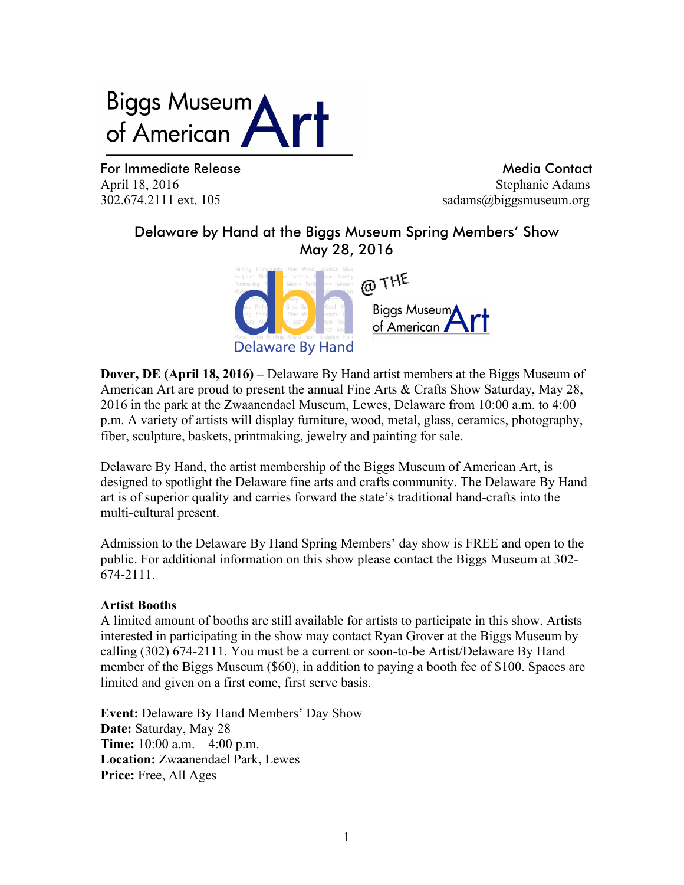# **Biggs Museum** of American

For Immediate Release and Media Contact Release and Media Contact April 18, 2016 Stephanie Adams 302.674.2111 ext. 105 sadams@biggsmuseum.org

# Delaware by Hand at the Biggs Museum Spring Members' Show May 28, 2016



**Dover, DE (April 18, 2016) –** Delaware By Hand artist members at the Biggs Museum of American Art are proud to present the annual Fine Arts & Crafts Show Saturday, May 28, 2016 in the park at the Zwaanendael Museum, Lewes, Delaware from 10:00 a.m. to 4:00 p.m. A variety of artists will display furniture, wood, metal, glass, ceramics, photography, fiber, sculpture, baskets, printmaking, jewelry and painting for sale.

Delaware By Hand, the artist membership of the Biggs Museum of American Art, is designed to spotlight the Delaware fine arts and crafts community. The Delaware By Hand art is of superior quality and carries forward the state's traditional hand-crafts into the multi-cultural present.

Admission to the Delaware By Hand Spring Members' day show is FREE and open to the public. For additional information on this show please contact the Biggs Museum at 302- 674-2111.

#### **Artist Booths**

A limited amount of booths are still available for artists to participate in this show. Artists interested in participating in the show may contact Ryan Grover at the Biggs Museum by calling (302) 674-2111. You must be a current or soon-to-be Artist/Delaware By Hand member of the Biggs Museum (\$60), in addition to paying a booth fee of \$100. Spaces are limited and given on a first come, first serve basis.

**Event:** Delaware By Hand Members' Day Show **Date:** Saturday, May 28 **Time:** 10:00 a.m. – 4:00 p.m. **Location:** Zwaanendael Park, Lewes **Price:** Free, All Ages